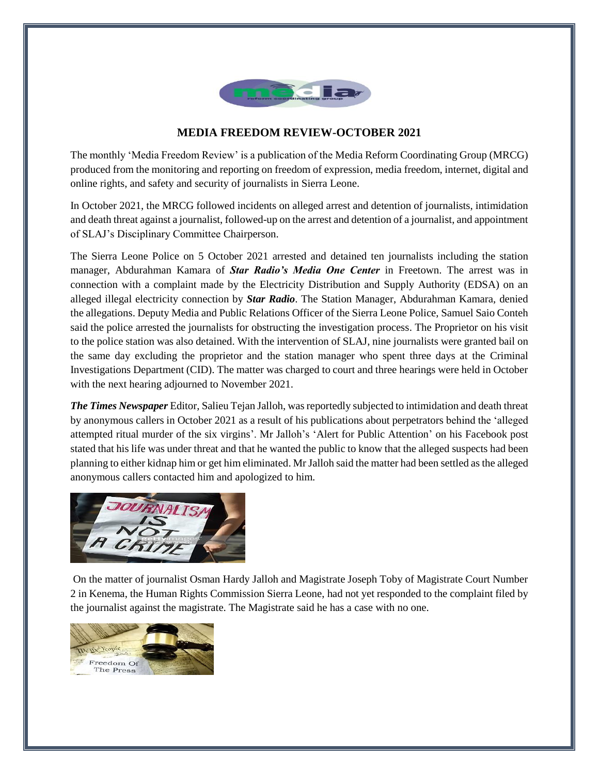

## **MEDIA FREEDOM REVIEW-OCTOBER 2021**

The monthly 'Media Freedom Review' is a publication of the Media Reform Coordinating Group (MRCG) produced from the monitoring and reporting on freedom of expression, media freedom, internet, digital and online rights, and safety and security of journalists in Sierra Leone.

In October 2021, the MRCG followed incidents on alleged arrest and detention of journalists, intimidation and death threat against a journalist, followed-up on the arrest and detention of a journalist, and appointment of SLAJ's Disciplinary Committee Chairperson.

The Sierra Leone Police on 5 October 2021 arrested and detained ten journalists including the station manager, Abdurahman Kamara of *Star Radio's Media One Center* in Freetown. The arrest was in connection with a complaint made by the Electricity Distribution and Supply Authority (EDSA) on an alleged illegal electricity connection by *Star Radio*. The Station Manager, Abdurahman Kamara, denied the allegations. Deputy Media and Public Relations Officer of the Sierra Leone Police, Samuel Saio Conteh said the police arrested the journalists for obstructing the investigation process. The Proprietor on his visit to the police station was also detained. With the intervention of SLAJ, nine journalists were granted bail on the same day excluding the proprietor and the station manager who spent three days at the Criminal Investigations Department (CID). The matter was charged to court and three hearings were held in October with the next hearing adjourned to November 2021.

*The Times Newspaper* Editor, Salieu Tejan Jalloh, was reportedly subjected to intimidation and death threat by anonymous callers in October 2021 as a result of his publications about perpetrators behind the 'alleged attempted ritual murder of the six virgins'. Mr Jalloh's 'Alert for Public Attention' on his Facebook post stated that his life was under threat and that he wanted the public to know that the alleged suspects had been planning to either kidnap him or get him eliminated. Mr Jalloh said the matter had been settled as the alleged anonymous callers contacted him and apologized to him.



On the matter of journalist Osman Hardy Jalloh and Magistrate Joseph Toby of Magistrate Court Number 2 in Kenema, the Human Rights Commission Sierra Leone, had not yet responded to the complaint filed by the journalist against the magistrate. The Magistrate said he has a case with no one.